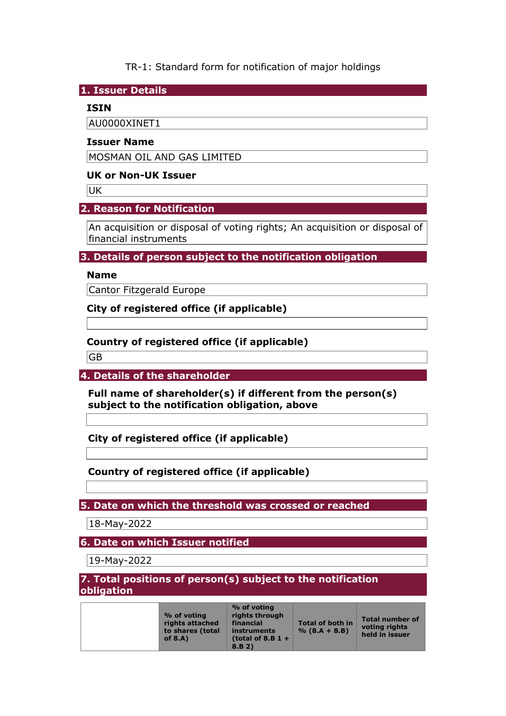TR-1: Standard form for notification of major holdings

**1. Issuer Details** 

### **ISIN**

AU0000XINET1

#### **Issuer Name**

MOSMAN OIL AND GAS LIMITED

#### **UK or Non-UK Issuer**

**UK** 

## **2. Reason for Notification**

An acquisition or disposal of voting rights; An acquisition or disposal of financial instruments

## **3. Details of person subject to the notification obligation**

## **Name**

Cantor Fitzgerald Europe

**City of registered office (if applicable)** 

## **Country of registered office (if applicable)**

GB

**4. Details of the shareholder** 

**Full name of shareholder(s) if different from the person(s) subject to the notification obligation, above** 

**City of registered office (if applicable)** 

## **Country of registered office (if applicable)**

**5. Date on which the threshold was crossed or reached** 

18-May-2022

**6. Date on which Issuer notified** 

19-May-2022

**7. Total positions of person(s) subject to the notification obligation** 

| % of voting<br>rights attached<br>to shares (total<br>of $8.A$ ) | % of voting<br>rights through<br>financial<br>instruments<br>(total of 8.B $1 +$<br>8.B.2) | <b>Total of both in</b><br>$% (8.A + 8.B)$ | <b>Total number of</b><br>voting rights<br>held in issuer |
|------------------------------------------------------------------|--------------------------------------------------------------------------------------------|--------------------------------------------|-----------------------------------------------------------|
|------------------------------------------------------------------|--------------------------------------------------------------------------------------------|--------------------------------------------|-----------------------------------------------------------|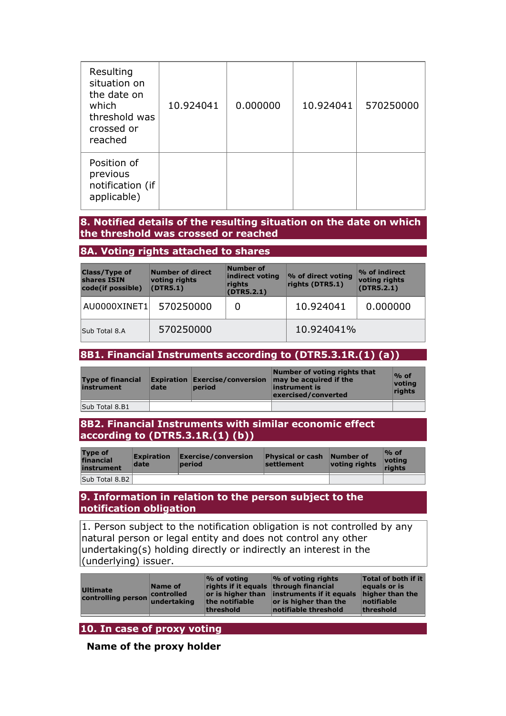| Resulting<br>situation on<br>the date on<br>which<br>threshold was<br>crossed or<br>reached | 10.924041 | 0.000000 | 10.924041 | 570250000 |
|---------------------------------------------------------------------------------------------|-----------|----------|-----------|-----------|
| Position of<br>previous<br>notification (if<br>applicable)                                  |           |          |           |           |

### **8. Notified details of the resulting situation on the date on which the threshold was crossed or reached**

#### **8A. Voting rights attached to shares**

| <b>Class/Type of</b><br>shares ISIN<br>code(if possible) | Number of direct<br>voting rights<br>(DTR5.1) | Number of<br>indirect voting<br>rights<br>(DTR5.2.1) | % of direct voting<br>rights (DTR5.1) | $\%$ of indirect<br>voting rights<br>(DTR5.2.1) |
|----------------------------------------------------------|-----------------------------------------------|------------------------------------------------------|---------------------------------------|-------------------------------------------------|
| AU0000XINET1                                             | 570250000                                     | 0                                                    | 10.924041                             | 0.000000                                        |
| Sub Total 8.A                                            | 570250000                                     |                                                      | 10.924041%                            |                                                 |

# **8B1. Financial Instruments according to (DTR5.3.1R.(1) (a))**

| <b>Type of financial</b><br>instrument | date | <b>Expiration Exercise/conversion</b><br><b>period</b> | Number of voting rights that<br>may be acquired if the<br>instrument is<br>exercised/converted | $\%$ of<br><u> votina</u><br>rights |
|----------------------------------------|------|--------------------------------------------------------|------------------------------------------------------------------------------------------------|-------------------------------------|
| Sub Total 8.B1                         |      |                                                        |                                                                                                |                                     |

#### **8B2. Financial Instruments with similar economic effect according to (DTR5.3.1R.(1) (b))**

| <b>Type of</b><br>financial<br>instrument | <b>Expiration</b><br>date | $\mathsf{Exercise}/\mathsf{conversion}$<br>period | <b>Physical or cash</b><br>settlement | Number of<br>voting rights | $\%$ of<br>votina<br>riahts |
|-------------------------------------------|---------------------------|---------------------------------------------------|---------------------------------------|----------------------------|-----------------------------|
| Sub Total 8.B2                            |                           |                                                   |                                       |                            |                             |

#### **9. Information in relation to the person subject to the notification obligation**

1. Person subject to the notification obligation is not controlled by any natural person or legal entity and does not control any other undertaking(s) holding directly or indirectly an interest in the (underlying) issuer.

| Ultimate<br>controlling person undertaking | Name of<br><b>Controlled</b> | $\%$ of voting<br>rights if it equals through financial<br>the notifiable<br>threshold | $\frac{1}{2}$ of voting rights<br>or is higher than instruments if it equals<br>or is higher than the<br>notifiable threshold | Total of both if it<br>equals or is<br>higher than the<br>notifiable<br>threshold |
|--------------------------------------------|------------------------------|----------------------------------------------------------------------------------------|-------------------------------------------------------------------------------------------------------------------------------|-----------------------------------------------------------------------------------|
|                                            |                              |                                                                                        |                                                                                                                               |                                                                                   |

# **10. In case of proxy voting**

**Name of the proxy holder**